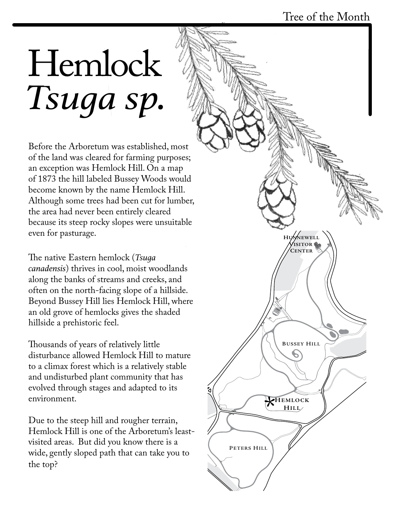## *Tsuga sp.* Hemlock

Before the Arboretum was established, most of the land was cleared for farming purposes; an exception was Hemlock Hill. On a map of 1873 the hill labeled Bussey Woods would become known by the name Hemlock Hill. Although some trees had been cut for lumber, the area had never been entirely cleared because its steep rocky slopes were unsuitable even for pasturage.

The native Eastern hemlock (*Tsuga canadensis*) thrives in cool, moist woodlands along the banks of streams and creeks, and often on the north-facing slope of a hillside. Beyond Bussey Hill lies Hemlock Hill, where an old grove of hemlocks gives the shaded hillside a prehistoric feel.

Thousands of years of relatively little disturbance allowed Hemlock Hill to mature to a climax forest which is a relatively stable and undisturbed plant community that has evolved through stages and adapted to its environment.

Hemlock Hill is one of the Arboretum's least-Due to the steep hill and rougher terrain, visited areas. But did you know there is a wide, gently sloped path that can take you to the top?